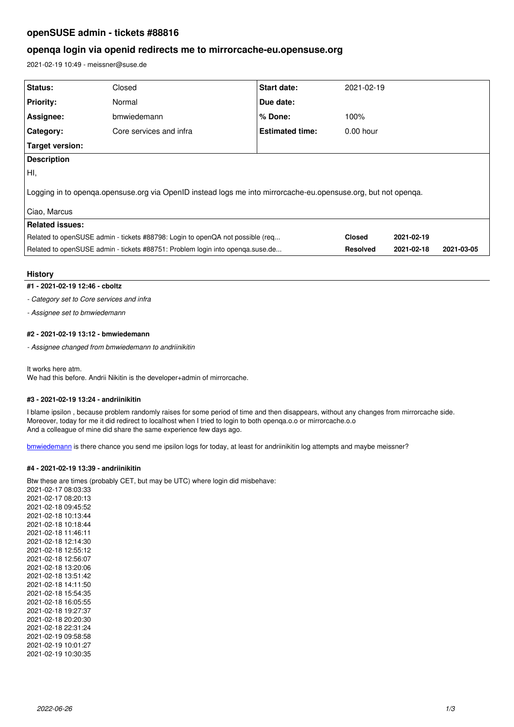# **openSUSE admin - tickets #88816**

# **openqa login via openid redirects me to mirrorcache-eu.opensuse.org**

2021-02-19 10:49 - meissner@suse.de

| Status:                                                                                                        | Closed                  | <b>Start date:</b>     | 2021-02-19      |            |            |
|----------------------------------------------------------------------------------------------------------------|-------------------------|------------------------|-----------------|------------|------------|
| <b>Priority:</b>                                                                                               | Normal                  | Due date:              |                 |            |            |
| Assignee:                                                                                                      | bmwiedemann             | $%$ Done:              | 100%            |            |            |
| Category:                                                                                                      | Core services and infra | <b>Estimated time:</b> | $0.00$ hour     |            |            |
| Target version:                                                                                                |                         |                        |                 |            |            |
| <b>Description</b>                                                                                             |                         |                        |                 |            |            |
| HI,                                                                                                            |                         |                        |                 |            |            |
| Logging in to openga opensuse org via OpenID instead logs me into mirrorcache-eu opensuse org, but not openga. |                         |                        |                 |            |            |
| Ciao, Marcus                                                                                                   |                         |                        |                 |            |            |
| <b>Related issues:</b>                                                                                         |                         |                        |                 |            |            |
| Related to openSUSE admin - tickets #88798: Login to openQA not possible (req                                  |                         |                        | <b>Closed</b>   | 2021-02-19 |            |
| Related to openSUSE admin - tickets #88751: Problem login into openqa.suse.de                                  |                         |                        | <b>Resolved</b> | 2021-02-18 | 2021-03-05 |
|                                                                                                                |                         |                        |                 |            |            |

## **History**

**#1 - 2021-02-19 12:46 - cboltz**

*- Category set to Core services and infra*

*- Assignee set to bmwiedemann*

## **#2 - 2021-02-19 13:12 - bmwiedemann**

*- Assignee changed from bmwiedemann to andriinikitin*

It works here atm.

We had this before. Andrii Nikitin is the developer+admin of mirrorcache.

## **#3 - 2021-02-19 13:24 - andriinikitin**

I blame ipsilon , because problem randomly raises for some period of time and then disappears, without any changes from mirrorcache side. Moreover, today for me it did redirect to localhost when I tried to login to both openqa.o.o or mirrorcache.o.o And a colleague of mine did share the same experience few days ago.

[bmwiedemann](progress.opensuse.org/users/628) is there chance you send me ipsilon logs for today, at least for andriinikitin log attempts and maybe meissner?

## **#4 - 2021-02-19 13:39 - andriinikitin**

Btw these are times (probably CET, but may be UTC) where login did misbehave:

2021-02-17 08:03:33 2021-02-17 08:20:13 2021-02-18 09:45:52 2021-02-18 10:13:44 2021-02-18 10:18:44 2021-02-18 11:46:11 2021-02-18 12:14:30 2021-02-18 12:55:12 2021-02-18 12:56:07 2021-02-18 13:20:06 2021-02-18 13:51:42 2021-02-18 14:11:50 2021-02-18 15:54:35 2021-02-18 16:05:55 2021-02-18 19:27:37 2021-02-18 20:20:30 2021-02-18 22:31:24 2021-02-19 09:58:58 2021-02-19 10:01:27 2021-02-19 10:30:35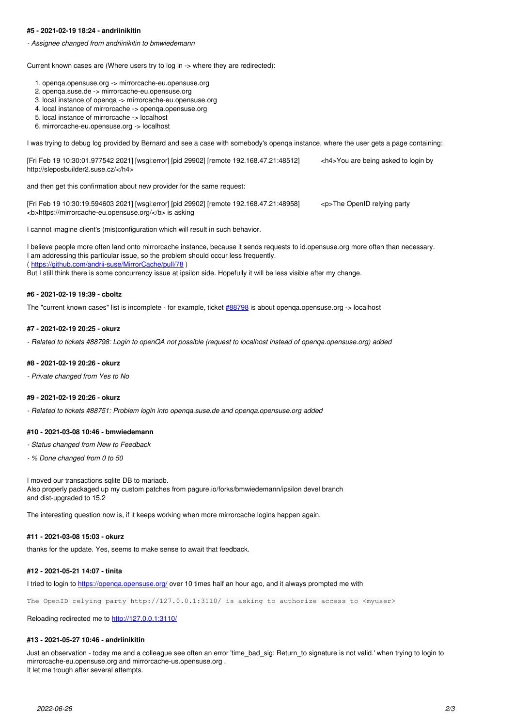#### **#5 - 2021-02-19 18:24 - andriinikitin**

*- Assignee changed from andriinikitin to bmwiedemann*

Current known cases are (Where users try to log in -> where they are redirected):

- 1. openqa.opensuse.org -> mirrorcache-eu.opensuse.org
- 2. openqa.suse.de -> mirrorcache-eu.opensuse.org
- 3. local instance of openqa -> mirrorcache-eu.opensuse.org
- 4. local instance of mirrorcache -> openqa.opensuse.org
- 5. local instance of mirrorcache -> localhost
- 6. mirrorcache-eu.opensuse.org -> localhost

I was trying to debug log provided by Bernard and see a case with somebody's openqa instance, where the user gets a page containing:

[Fri Feb 19 10:30:01.977542 2021] [wsgi:error] [pid 29902] [remote 192.168.47.21:48512] <h4>You are being asked to login by http://sleposbuilder2.suse.cz/</h4>

and then get this confirmation about new provider for the same request:

[Fri Feb 19 10:30:19.594603 2021] [wsgi:error] [pid 29902] [remote 192.168.47.21:48958] <p>The OpenID relying party <b>https://mirrorcache-eu.opensuse.org/</b> is asking

I cannot imagine client's (mis)configuration which will result in such behavior.

I believe people more often land onto mirrorcache instance, because it sends requests to id.opensuse.org more often than necessary. I am addressing this particular issue, so the problem should occur less frequently. (<https://github.com/andrii-suse/MirrorCache/pull/78>) But I still think there is some concurrency issue at ipsilon side. Hopefully it will be less visible after my change.

#### **#6 - 2021-02-19 19:39 - cboltz**

The "current known cases" list is incomplete - for example, ticket [#88798](https://progress.opensuse.org/issues/88798) is about openqa.opensuse.org -> localhost

#### **#7 - 2021-02-19 20:25 - okurz**

*- Related to tickets #88798: Login to openQA not possible (request to localhost instead of openqa.opensuse.org) added*

#### **#8 - 2021-02-19 20:26 - okurz**

*- Private changed from Yes to No*

#### **#9 - 2021-02-19 20:26 - okurz**

*- Related to tickets #88751: Problem login into openqa.suse.de and openqa.opensuse.org added*

#### **#10 - 2021-03-08 10:46 - bmwiedemann**

- *Status changed from New to Feedback*
- *% Done changed from 0 to 50*

I moved our transactions sqlite DB to mariadb. Also properly packaged up my custom patches from pagure.io/forks/bmwiedemann/ipsilon devel branch and dist-upgraded to 15.2

The interesting question now is, if it keeps working when more mirrorcache logins happen again.

#### **#11 - 2021-03-08 15:03 - okurz**

thanks for the update. Yes, seems to make sense to await that feedback.

## **#12 - 2021-05-21 14:07 - tinita**

I tried to login to https://openga.opensuse.org/ over 10 times half an hour ago, and it always prompted me with

The OpenID relying party http://127.0.0.1:3110/ is asking to authorize access to  $\langle$ myuser>

Reloading redirected me to<http://127.0.0.1:3110/>

#### **#13 - 2021-05-27 10:46 - andriinikitin**

Just an observation - today me and a colleague see often an error 'time bad sig: Return to signature is not valid.' when trying to login to mirrorcache-eu.opensuse.org and mirrorcache-us.opensuse.org . It let me trough after several attempts.